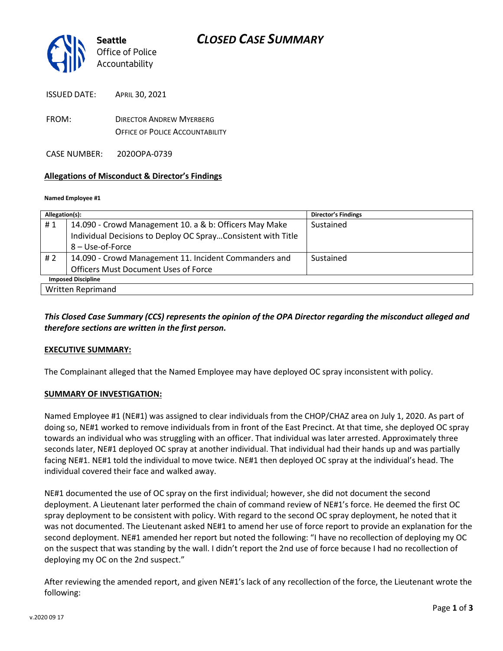

ISSUED DATE: APRIL 30, 2021

FROM: DIRECTOR ANDREW MYERBERG OFFICE OF POLICE ACCOUNTABILITY

CASE NUMBER: 2020OPA-0739

# **Allegations of Misconduct & Director's Findings**

#### **Named Employee #1**

| Allegation(s):            |                                                              | <b>Director's Findings</b> |
|---------------------------|--------------------------------------------------------------|----------------------------|
| #1                        | 14.090 - Crowd Management 10. a & b: Officers May Make       | Sustained                  |
|                           | Individual Decisions to Deploy OC SprayConsistent with Title |                            |
|                           | $8 -$ Use-of-Force                                           |                            |
| #2                        | 14.090 - Crowd Management 11. Incident Commanders and        | Sustained                  |
|                           | <b>Officers Must Document Uses of Force</b>                  |                            |
| <b>Imposed Discipline</b> |                                                              |                            |
| <b>Written Reprimand</b>  |                                                              |                            |

# *This Closed Case Summary (CCS) represents the opinion of the OPA Director regarding the misconduct alleged and therefore sections are written in the first person.*

# **EXECUTIVE SUMMARY:**

The Complainant alleged that the Named Employee may have deployed OC spray inconsistent with policy.

# **SUMMARY OF INVESTIGATION:**

Named Employee #1 (NE#1) was assigned to clear individuals from the CHOP/CHAZ area on July 1, 2020. As part of doing so, NE#1 worked to remove individuals from in front of the East Precinct. At that time, she deployed OC spray towards an individual who was struggling with an officer. That individual was later arrested. Approximately three seconds later, NE#1 deployed OC spray at another individual. That individual had their hands up and was partially facing NE#1. NE#1 told the individual to move twice. NE#1 then deployed OC spray at the individual's head. The individual covered their face and walked away.

NE#1 documented the use of OC spray on the first individual; however, she did not document the second deployment. A Lieutenant later performed the chain of command review of NE#1's force. He deemed the first OC spray deployment to be consistent with policy. With regard to the second OC spray deployment, he noted that it was not documented. The Lieutenant asked NE#1 to amend her use of force report to provide an explanation for the second deployment. NE#1 amended her report but noted the following: "I have no recollection of deploying my OC on the suspect that was standing by the wall. I didn't report the 2nd use of force because I had no recollection of deploying my OC on the 2nd suspect."

After reviewing the amended report, and given NE#1's lack of any recollection of the force, the Lieutenant wrote the following: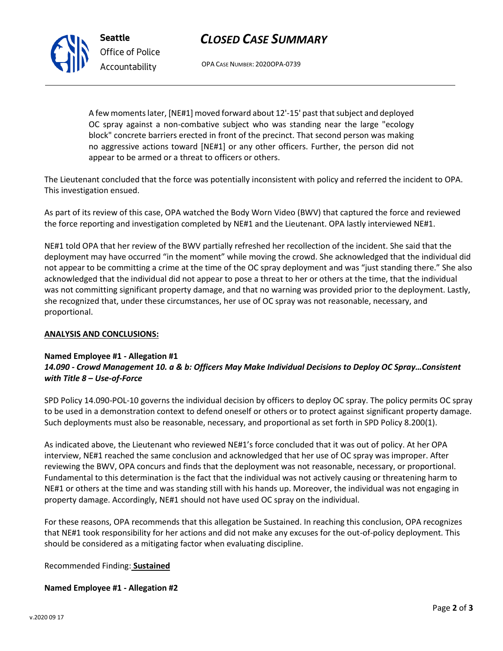# *CLOSED CASE SUMMARY*



*Office of Police Accountability*

OPA CASE NUMBER: 2020OPA-0739

A few moments later, [NE#1] moved forward about 12'-15' past that subject and deployed OC spray against a non-combative subject who was standing near the large "ecology block" concrete barriers erected in front of the precinct. That second person was making no aggressive actions toward [NE#1] or any other officers. Further, the person did not appear to be armed or a threat to officers or others.

The Lieutenant concluded that the force was potentially inconsistent with policy and referred the incident to OPA. This investigation ensued.

As part of its review of this case, OPA watched the Body Worn Video (BWV) that captured the force and reviewed the force reporting and investigation completed by NE#1 and the Lieutenant. OPA lastly interviewed NE#1.

NE#1 told OPA that her review of the BWV partially refreshed her recollection of the incident. She said that the deployment may have occurred "in the moment" while moving the crowd. She acknowledged that the individual did not appear to be committing a crime at the time of the OC spray deployment and was "just standing there." She also acknowledged that the individual did not appear to pose a threat to her or others at the time, that the individual was not committing significant property damage, and that no warning was provided prior to the deployment. Lastly, she recognized that, under these circumstances, her use of OC spray was not reasonable, necessary, and proportional.

# **ANALYSIS AND CONCLUSIONS:**

# **Named Employee #1 - Allegation #1** *14.090 - Crowd Management 10. a & b: Officers May Make Individual Decisions to Deploy OC Spray…Consistent with Title 8 – Use-of-Force*

SPD Policy 14.090-POL-10 governs the individual decision by officers to deploy OC spray. The policy permits OC spray to be used in a demonstration context to defend oneself or others or to protect against significant property damage. Such deployments must also be reasonable, necessary, and proportional as set forth in SPD Policy 8.200(1).

As indicated above, the Lieutenant who reviewed NE#1's force concluded that it was out of policy. At her OPA interview, NE#1 reached the same conclusion and acknowledged that her use of OC spray was improper. After reviewing the BWV, OPA concurs and finds that the deployment was not reasonable, necessary, or proportional. Fundamental to this determination is the fact that the individual was not actively causing or threatening harm to NE#1 or others at the time and was standing still with his hands up. Moreover, the individual was not engaging in property damage. Accordingly, NE#1 should not have used OC spray on the individual.

For these reasons, OPA recommends that this allegation be Sustained. In reaching this conclusion, OPA recognizes that NE#1 took responsibility for her actions and did not make any excuses for the out-of-policy deployment. This should be considered as a mitigating factor when evaluating discipline.

Recommended Finding: **Sustained**

# **Named Employee #1 - Allegation #2**